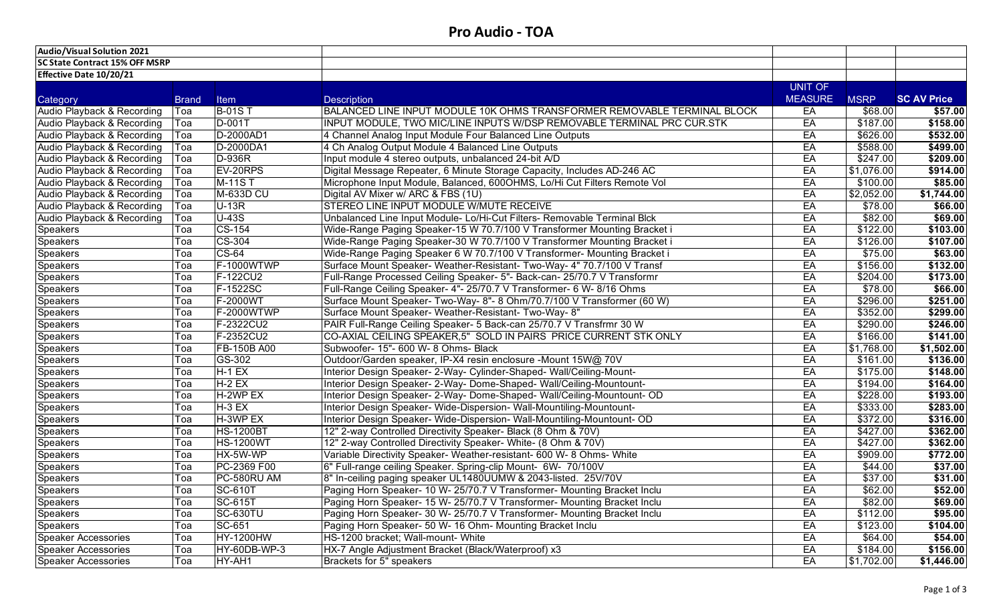| <b>Audio/Visual Solution 2021</b>     |              |                    |                                                                          |                |             |                    |
|---------------------------------------|--------------|--------------------|--------------------------------------------------------------------------|----------------|-------------|--------------------|
| <b>SC State Contract 15% OFF MSRP</b> |              |                    |                                                                          |                |             |                    |
| Effective Date 10/20/21               |              |                    |                                                                          |                |             |                    |
|                                       |              |                    |                                                                          | <b>UNIT OF</b> |             |                    |
| Category                              | <b>Brand</b> | Item               | <b>Description</b>                                                       | <b>MEASURE</b> | <b>MSRP</b> | <b>SC AV Price</b> |
| Audio Playback & Recording            | Toa          | <b>B-01ST</b>      | BALANCED LINE INPUT MODULE 10K OHMS TRANSFORMER REMOVABLE TERMINAL BLOCK | EA             | \$68.00     | \$57.00            |
| Audio Playback & Recording            | Toa          | D-001T             | INPUT MODULE, TWO MIC/LINE INPUTS W/DSP REMOVABLE TERMINAL PRC CUR.STK   | EA             | \$187.00    | \$158.00           |
| Audio Playback & Recording            | Toa          | D-2000AD1          | 4 Channel Analog Input Module Four Balanced Line Outputs                 | EA             | \$626.00    | \$532.00           |
| Audio Playback & Recording            | Toa          | D-2000DA1          | 4 Ch Analog Output Module 4 Balanced Line Outputs                        | EA             | \$588.00    | \$499.00           |
| Audio Playback & Recording            | Toa          | $D-936R$           | Input module 4 stereo outputs, unbalanced 24-bit A/D                     | EA             | \$247.00    | \$209.00           |
| Audio Playback & Recording            | Toa          | EV-20RPS           | Digital Message Repeater, 6 Minute Storage Capacity, Includes AD-246 AC  | EA             | \$1,076.00  | \$914.00           |
| Audio Playback & Recording            | Toa          | M-11S <sub>1</sub> | Microphone Input Module, Balanced, 600OHMS, Lo/Hi Cut Filters Remote Vol | EA             | \$100.00    | \$85.00            |
| Audio Playback & Recording            | Toa          | M-633D CU          | Digital AV Mixer w/ ARC & FBS (1U)                                       | EA             | \$2,052.00  | \$1,744.00         |
| Audio Playback & Recording            | Toa          | $U-13R$            | STEREO LINE INPUT MODULE W/MUTE RECEIVE                                  | EA             | \$78.00     | \$66.00            |
| Audio Playback & Recording            | Toa          | $U-43S$            | Unbalanced Line Input Module- Lo/Hi-Cut Filters- Removable Terminal Blck | EA             | \$82.00     | \$69.00            |
| <b>Speakers</b>                       | Toa          | CS-154             | Wide-Range Paging Speaker-15 W 70.7/100 V Transformer Mounting Bracket i | EA             | \$122.00    | \$103.00           |
| <b>Speakers</b>                       | Toa          | CS-304             | Wide-Range Paging Speaker-30 W 70.7/100 V Transformer Mounting Bracket i | EA             | \$126.00    | \$107.00           |
| Speakers                              | Toa          | $CS-64$            | Wide-Range Paging Speaker 6 W 70.7/100 V Transformer- Mounting Bracket i | EA             | \$75.00     | \$63.00            |
| Speakers                              | Toa          | F-1000WTWP         | Surface Mount Speaker- Weather-Resistant- Two-Way- 4" 70.7/100 V Transf  | EA             | \$156.00    | \$132.00           |
| Speakers                              | Toa          | F-122CU2           | Full-Range Processed Ceiling Speaker- 5"- Back-can- 25/70.7 V Transformr | EA             | \$204.00    | \$173.00           |
| <b>Speakers</b>                       | Toa          | F-1522SC           | Full-Range Ceiling Speaker- 4"- 25/70.7 V Transformer- 6 W- 8/16 Ohms    | EA             | \$78.00     | \$66.00            |
| Speakers                              | Toa          | F-2000WT           | Surface Mount Speaker- Two-Way- 8"- 8 Ohm/70.7/100 V Transformer (60 W)  | EA             | \$296.00    | \$251.00           |
| Speakers                              | Toa          | F-2000WTWP         | Surface Mount Speaker- Weather-Resistant- Two-Way- 8"                    | EA             | \$352.00    | \$299.00           |
| Speakers                              | Toa          | F-2322CU2          | PAIR Full-Range Ceiling Speaker- 5 Back-can 25/70.7 V Transfrmr 30 W     | EA             | \$290.00    | \$246.00           |
| <b>Speakers</b>                       | Toa          | F-2352CU2          | CO-AXIAL CEILING SPEAKER,5" SOLD IN PAIRS PRICE CURRENT STK ONLY         | EA             | \$166.00    | \$141.00           |
| Speakers                              | Toa          | <b>FB-150B A00</b> | Subwoofer- 15"- 600 W- 8 Ohms- Black                                     | EA             | \$1,768.00  | \$1,502.00         |
| <b>Speakers</b>                       | Toa          | GS-302             | Outdoor/Garden speaker, IP-X4 resin enclosure -Mount 15W@ 70V            | EA             | \$161.00    | \$136.00           |
| Speakers                              | Toa          | $H-1 EX$           | Interior Design Speaker- 2-Way- Cylinder-Shaped- Wall/Ceiling-Mount-     | EA             | \$175.00    | \$148.00           |
| <b>Speakers</b>                       | Toa          | $H-2 EX$           | Interior Design Speaker- 2-Way- Dome-Shaped- Wall/Ceiling-Mountount-     | EA             | \$194.00    | \$164.00           |
| Speakers                              | Toa          | H-2WP EX           | Interior Design Speaker- 2-Way- Dome-Shaped- Wall/Ceiling-Mountount- OD  | EA             | \$228.00    | \$193.00           |
| Speakers                              | Toa          | $H-3 EX$           | Interior Design Speaker- Wide-Dispersion- Wall-Mountiling-Mountount-     | EA             | \$333.00    | \$283.00           |
| Speakers                              | Toa          | H-3WP EX           | Interior Design Speaker- Wide-Dispersion- Wall-Mountiling-Mountount- OD  | EA             | \$372.00    | \$316.00           |
| Speakers                              | Toa          | <b>HS-1200BT</b>   | 12" 2-way Controlled Directivity Speaker- Black (8 Ohm & 70V)            | EA             | \$427.00    | \$362.00           |
| Speakers                              | Toa          | <b>HS-1200WT</b>   | 12" 2-way Controlled Directivity Speaker- White- (8 Ohm & 70V)           | EA             | \$427.00    | \$362.00           |
| <b>Speakers</b>                       | Toa          | HX-5W-WP           | Variable Directivity Speaker- Weather-resistant- 600 W- 8 Ohms- White    | EA             | \$909.00    | \$772.00           |
| <b>Speakers</b>                       | Toa          | PC-2369 F00        | 6" Full-range ceiling Speaker. Spring-clip Mount- 6W- 70/100V            | EA             | \$44.00     | \$37.00            |
| Speakers                              | Тоа          | PC-580RU AM        | 8" In-ceiling paging speaker UL1480UUMW & 2043-listed. 25V/70V           | EA             | \$37.00     | \$31.00            |
| Speakers                              | Toa          | <b>SC-610T</b>     | Paging Horn Speaker- 10 W- 25/70.7 V Transformer- Mounting Bracket Inclu | EA             | \$62.00     | \$52.00            |
| <b>Speakers</b>                       | Toa          | <b>SC-615T</b>     | Paging Horn Speaker- 15 W- 25/70.7 V Transformer- Mounting Bracket Inclu | EA             | \$82.00     | \$69.00            |
| <b>Speakers</b>                       | Toa          | <b>SC-630TU</b>    | Paging Horn Speaker- 30 W- 25/70.7 V Transformer- Mounting Bracket Inclu | EA             | \$112.00    | \$95.00            |
| Speakers                              | Toa          | SC-651             | Paging Horn Speaker- 50 W- 16 Ohm- Mounting Bracket Inclu                | EA             | \$123.00    | \$104.00           |
| <b>Speaker Accessories</b>            | Toa          | <b>HY-1200HW</b>   | HS-1200 bracket; Wall-mount- White                                       | EA             | \$64.00     | \$54.00            |
| <b>Speaker Accessories</b>            | Toa          | HY-60DB-WP-3       | HX-7 Angle Adjustment Bracket (Black/Waterproof) x3                      | EA             | \$184.00    | \$156.00           |
| <b>Speaker Accessories</b>            | Toa          | HY-AH1             | Brackets for 5" speakers                                                 | EA             | \$1,702.00  | \$1,446.00         |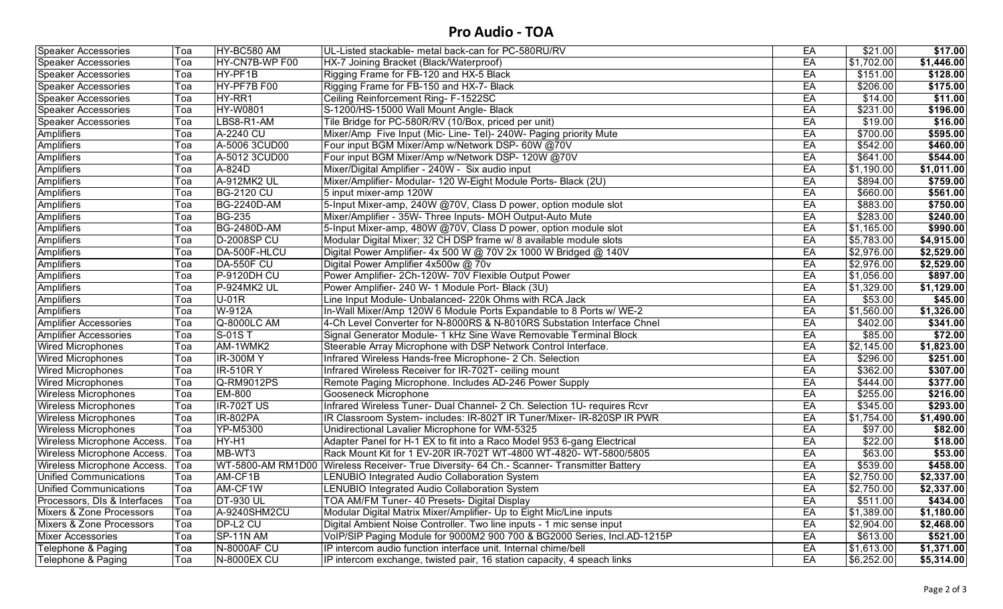## **Pro Audio - TOA**

| HY-CN7B-WP F00<br>EA<br>\$1,702.00<br>HX-7 Joining Bracket (Black/Waterproof)<br>\$1,446.00<br><b>Speaker Accessories</b><br>Гоа<br>\$151.00<br>HY-PF1B<br>EA<br><b>Speaker Accessories</b><br>Rigging Frame for FB-120 and HX-5 Black<br>\$128.00<br>Гоа<br>HY-PF7B F00<br>\$206.00<br>Rigging Frame for FB-150 and HX-7- Black<br>EA<br>\$175.00<br><b>Speaker Accessories</b><br>Toa<br>HY-RR1<br>Ceiling Reinforcement Ring- F-1522SC<br>\$14.00<br>EA<br>\$11.00<br><b>Speaker Accessories</b><br>Toa<br>EA<br>\$231.00<br><b>HY-W0801</b><br>S-1200/HS-15000 Wall Mount Angle- Black<br>\$196.00<br><b>Speaker Accessories</b><br>Toa<br>LBS8-R1-AM<br>EA<br>\$19.00<br>Tile Bridge for PC-580R/RV (10/Box, priced per unit)<br>\$16.00<br><b>Speaker Accessories</b><br>Toa<br>A-2240 CU<br>Mixer/Amp Five Input (Mic- Line- Tel)- 240W- Paging priority Mute<br>EA<br>\$700.00<br>Amplifiers<br>\$595.00<br>Тоа<br>\$542.00<br><b>Amplifiers</b><br>A-5006 3CUD00<br>Four input BGM Mixer/Amp w/Network DSP- 60W @70V<br>EA<br>\$460.00<br>Toa<br><b>Amplifiers</b><br>\$641.00<br>A-5012 3CUD00<br>Four input BGM Mixer/Amp w/Network DSP- 120W @70V<br>EA<br>\$544.00<br>Гоа<br><b>Amplifiers</b><br>Mixer/Digital Amplifier - 240W - Six audio input<br>\$1,190.00<br>A-824D<br>EA<br>\$1,011.00<br>Гоа<br><b>Amplifiers</b><br>A-912MK2 UL<br>Mixer/Amplifier- Modular- 120 W-Eight Module Ports- Black (2U)<br>EA<br>\$894.00<br>\$759.00<br>Гоа<br>\$660.00<br>EA<br>\$561.00<br><b>BG-2120 CU</b><br>5 input mixer-amp 120W<br>Гоа<br>\$883.00<br>5-Input Mixer-amp, 240W @70V, Class D power, option module slot<br><b>BG-2240D-AM</b><br>EA<br>\$750.00<br>Гоа<br>\$283.00<br><b>BG-235</b><br>Mixer/Amplifier - 35W- Three Inputs- MOH Output-Auto Mute<br>EA<br>\$240.00<br>Гоа<br>EA<br>\$1,165.00<br>Amplifiers<br><b>BG-2480D-AM</b><br>5-Input Mixer-amp, 480W @70V, Class D power, option module slot<br>\$990.00<br>Гоа<br><b>D-2008SP CU</b><br>Modular Digital Mixer; 32 CH DSP frame w/ 8 available module slots<br>EA<br>\$5,783.00<br>\$4,915.00<br>Гоа<br>EA<br>\$2,976.00<br>DA-500F-HLCU<br>Digital Power Amplifier- 4x 500 W @ 70V 2x 1000 W Bridged @ 140V<br>\$2,529.00<br>Гоа<br>Digital Power Amplifier 4x500w @ 70v<br>EA<br>\$2,976.00<br>\$2,529.00<br>DA-550F CU<br>Гоа<br>EA<br><b>Amplifiers</b><br>$P-9120DH$ CU<br>Power Amplifier- 2Ch-120W- 70V Flexible Output Power<br>\$1,056.00<br>\$897.00<br>Гоа<br>Amplifiers<br>EA<br>\$1,329.00<br>P-924MK2 UL<br>Power Amplifier- 240 W- 1 Module Port- Black (3U)<br>\$1,129.00<br>Гоа<br><b>Amplifiers</b><br>EA<br>\$53.00<br>$U-01R$<br>Line Input Module- Unbalanced- 220k Ohms with RCA Jack<br>\$45.00<br>Гоа<br><b>Amplifiers</b><br>EA<br>\$1,560.00<br>W-912A<br>In-Wall Mixer/Amp 120W 6 Module Ports Expandable to 8 Ports w/ WE-2<br>\$1,326.00<br>Toa<br>4-Ch Level Converter for N-8000RS & N-8010RS Substation Interface Chnel<br>Q-8000LC AM<br>EA<br>\$402.00<br>\$341.00<br>Toa<br>S-01ST<br>Signal Generator Module- 1 kHz Sine Wave Removable Terminal Block<br>EA<br>\$85.00<br>\$72.00<br>Toa<br>EA<br>AM-1WMK2<br>Steerable Array Microphone with DSP Network Control Interface.<br>\$2,145.00<br>\$1,823.00<br>Toa<br>\$296.00<br><b>IR-300MY</b><br>Infrared Wireless Hands-free Microphone- 2 Ch. Selection<br>EA<br>\$251.00<br>Toa<br>\$362.00<br><b>Wired Microphones</b><br><b>IR-510RY</b><br>Infrared Wireless Receiver for IR-702T- ceiling mount<br>EA<br>\$307.00<br>Toa<br>\$444.00<br>$Q-RM9012PS$<br>Remote Paging Microphone. Includes AD-246 Power Supply<br>EA<br>\$377.00<br>Toa<br>\$255.00<br><b>EM-800</b><br><b>Gooseneck Microphone</b><br>EA<br>\$216.00<br>Toa<br>Infrared Wireless Tuner- Dual Channel- 2 Ch. Selection 1U- requires Rcvr<br><b>Wireless Microphones</b><br><b>IR-702T US</b><br>EA<br>\$345.00<br>\$293.00<br>Toa<br><b>Wireless Microphones</b><br><b>IR-802PA</b><br>IR Classroom System- includes: IR-802T IR Tuner/Mixer- IR-820SP IR PWR<br>EA<br>\$1,754.00<br>\$1,490.00<br>Toa<br><b>Wireless Microphones</b><br><b>YP-M5300</b><br>Unidirectional Lavalier Microphone for WM-5325<br>EA<br>\$97.00<br>\$82.00<br>Toa<br>Wireless Microphone Access.<br>HY-H1<br>Adapter Panel for H-1 EX to fit into a Raco Model 953 6-gang Electrical<br>EA<br>\$22.00<br>\$18.00<br>Toa<br>\$63.00<br>Wireless Microphone Access.<br>MB-WT3<br>Rack Mount Kit for 1 EV-20R IR-702T WT-4800 WT-4820- WT-5800/5805<br>EA<br>\$53.00<br>Toa<br>WT-5800-AM RM1D00 Wireless Receiver- True Diversity- 64 Ch.- Scanner- Transmitter Battery<br>EA<br>\$539.00<br>\$458.00<br>Wireless Microphone Access.<br>Toa<br>EA<br>Unified Communications<br>AM-CF1B<br>\$2,750.00<br><b>LENUBIO Integrated Audio Collaboration System</b><br>\$2,337.00<br>Toa<br>AM-CF1W<br>EA<br>\$2,750.00<br>\$2,337.00<br>Unified Communications<br>Toa<br>LENUBIO Integrated Audio Collaboration System<br>\$434.00<br><b>DT-930 UL</b><br>EA<br>\$511.00<br>Toa<br>TOA AM/FM Tuner- 40 Presets- Digital Display<br>A-9240SHM2CU<br>Modular Digital Matrix Mixer/Amplifier- Up to Eight Mic/Line inputs<br>\$1,180.00<br>EA<br>\$1,389.00<br>Toa<br>Mixers & Zone Processors<br>DP-L2 CU<br>Digital Ambient Noise Controller. Two line inputs - 1 mic sense input<br>EA<br>\$2,904.00<br>Toa<br>\$2,468.00<br>VoIP/SIP Paging Module for 9000M2 900 700 & BG2000 Series, Incl.AD-1215P<br>SP-11N AM<br>EA<br>\$613.00<br>\$521.00<br>Toa<br>Telephone & Paging<br><b>N-8000AF CU</b><br>IP intercom audio function interface unit. Internal chime/bell<br>EA<br> \$1,613.00<br>\$1,371.00<br>Toa<br>EA<br>Telephone & Paging<br>IP intercom exchange, twisted pair, 16 station capacity, 4 speach links<br>Toa | <b>Speaker Accessories</b>   | Toa | HY-BC580 AM        | UL-Listed stackable- metal back-can for PC-580RU/RV | EA | \$21.00    | \$17.00    |
|-------------------------------------------------------------------------------------------------------------------------------------------------------------------------------------------------------------------------------------------------------------------------------------------------------------------------------------------------------------------------------------------------------------------------------------------------------------------------------------------------------------------------------------------------------------------------------------------------------------------------------------------------------------------------------------------------------------------------------------------------------------------------------------------------------------------------------------------------------------------------------------------------------------------------------------------------------------------------------------------------------------------------------------------------------------------------------------------------------------------------------------------------------------------------------------------------------------------------------------------------------------------------------------------------------------------------------------------------------------------------------------------------------------------------------------------------------------------------------------------------------------------------------------------------------------------------------------------------------------------------------------------------------------------------------------------------------------------------------------------------------------------------------------------------------------------------------------------------------------------------------------------------------------------------------------------------------------------------------------------------------------------------------------------------------------------------------------------------------------------------------------------------------------------------------------------------------------------------------------------------------------------------------------------------------------------------------------------------------------------------------------------------------------------------------------------------------------------------------------------------------------------------------------------------------------------------------------------------------------------------------------------------------------------------------------------------------------------------------------------------------------------------------------------------------------------------------------------------------------------------------------------------------------------------------------------------------------------------------------------------------------------------------------------------------------------------------------------------------------------------------------------------------------------------------------------------------------------------------------------------------------------------------------------------------------------------------------------------------------------------------------------------------------------------------------------------------------------------------------------------------------------------------------------------------------------------------------------------------------------------------------------------------------------------------------------------------------------------------------------------------------------------------------------------------------------------------------------------------------------------------------------------------------------------------------------------------------------------------------------------------------------------------------------------------------------------------------------------------------------------------------------------------------------------------------------------------------------------------------------------------------------------------------------------------------------------------------------------------------------------------------------------------------------------------------------------------------------------------------------------------------------------------------------------------------------------------------------------------------------------------------------------------------------------------------------------------------------------------------------------------------------------------------------------------------------------------------------------------------------------------------------------------------------------------------------------------------------------------------------------------------------------------------------------------------------------------------------------------------------------------------------------------------------------------------------------------------------------------------------------------------------------------------------------------------------------------------------------------------------------------------------------------------------------------------------------------------------------------------------------------------------------------------------------------------------------------------------------------------------------------------------------------------------------------------------------------------------------------------------------|------------------------------|-----|--------------------|-----------------------------------------------------|----|------------|------------|
|                                                                                                                                                                                                                                                                                                                                                                                                                                                                                                                                                                                                                                                                                                                                                                                                                                                                                                                                                                                                                                                                                                                                                                                                                                                                                                                                                                                                                                                                                                                                                                                                                                                                                                                                                                                                                                                                                                                                                                                                                                                                                                                                                                                                                                                                                                                                                                                                                                                                                                                                                                                                                                                                                                                                                                                                                                                                                                                                                                                                                                                                                                                                                                                                                                                                                                                                                                                                                                                                                                                                                                                                                                                                                                                                                                                                                                                                                                                                                                                                                                                                                                                                                                                                                                                                                                                                                                                                                                                                                                                                                                                                                                                                                                                                                                                                                                                                                                                                                                                                                                                                                                                                                                                                                                                                                                                                                                                                                                                                                                                                                                                                                                                                                                                                                 |                              |     |                    |                                                     |    |            |            |
|                                                                                                                                                                                                                                                                                                                                                                                                                                                                                                                                                                                                                                                                                                                                                                                                                                                                                                                                                                                                                                                                                                                                                                                                                                                                                                                                                                                                                                                                                                                                                                                                                                                                                                                                                                                                                                                                                                                                                                                                                                                                                                                                                                                                                                                                                                                                                                                                                                                                                                                                                                                                                                                                                                                                                                                                                                                                                                                                                                                                                                                                                                                                                                                                                                                                                                                                                                                                                                                                                                                                                                                                                                                                                                                                                                                                                                                                                                                                                                                                                                                                                                                                                                                                                                                                                                                                                                                                                                                                                                                                                                                                                                                                                                                                                                                                                                                                                                                                                                                                                                                                                                                                                                                                                                                                                                                                                                                                                                                                                                                                                                                                                                                                                                                                                 |                              |     |                    |                                                     |    |            |            |
|                                                                                                                                                                                                                                                                                                                                                                                                                                                                                                                                                                                                                                                                                                                                                                                                                                                                                                                                                                                                                                                                                                                                                                                                                                                                                                                                                                                                                                                                                                                                                                                                                                                                                                                                                                                                                                                                                                                                                                                                                                                                                                                                                                                                                                                                                                                                                                                                                                                                                                                                                                                                                                                                                                                                                                                                                                                                                                                                                                                                                                                                                                                                                                                                                                                                                                                                                                                                                                                                                                                                                                                                                                                                                                                                                                                                                                                                                                                                                                                                                                                                                                                                                                                                                                                                                                                                                                                                                                                                                                                                                                                                                                                                                                                                                                                                                                                                                                                                                                                                                                                                                                                                                                                                                                                                                                                                                                                                                                                                                                                                                                                                                                                                                                                                                 |                              |     |                    |                                                     |    |            |            |
|                                                                                                                                                                                                                                                                                                                                                                                                                                                                                                                                                                                                                                                                                                                                                                                                                                                                                                                                                                                                                                                                                                                                                                                                                                                                                                                                                                                                                                                                                                                                                                                                                                                                                                                                                                                                                                                                                                                                                                                                                                                                                                                                                                                                                                                                                                                                                                                                                                                                                                                                                                                                                                                                                                                                                                                                                                                                                                                                                                                                                                                                                                                                                                                                                                                                                                                                                                                                                                                                                                                                                                                                                                                                                                                                                                                                                                                                                                                                                                                                                                                                                                                                                                                                                                                                                                                                                                                                                                                                                                                                                                                                                                                                                                                                                                                                                                                                                                                                                                                                                                                                                                                                                                                                                                                                                                                                                                                                                                                                                                                                                                                                                                                                                                                                                 |                              |     |                    |                                                     |    |            |            |
|                                                                                                                                                                                                                                                                                                                                                                                                                                                                                                                                                                                                                                                                                                                                                                                                                                                                                                                                                                                                                                                                                                                                                                                                                                                                                                                                                                                                                                                                                                                                                                                                                                                                                                                                                                                                                                                                                                                                                                                                                                                                                                                                                                                                                                                                                                                                                                                                                                                                                                                                                                                                                                                                                                                                                                                                                                                                                                                                                                                                                                                                                                                                                                                                                                                                                                                                                                                                                                                                                                                                                                                                                                                                                                                                                                                                                                                                                                                                                                                                                                                                                                                                                                                                                                                                                                                                                                                                                                                                                                                                                                                                                                                                                                                                                                                                                                                                                                                                                                                                                                                                                                                                                                                                                                                                                                                                                                                                                                                                                                                                                                                                                                                                                                                                                 |                              |     |                    |                                                     |    |            |            |
|                                                                                                                                                                                                                                                                                                                                                                                                                                                                                                                                                                                                                                                                                                                                                                                                                                                                                                                                                                                                                                                                                                                                                                                                                                                                                                                                                                                                                                                                                                                                                                                                                                                                                                                                                                                                                                                                                                                                                                                                                                                                                                                                                                                                                                                                                                                                                                                                                                                                                                                                                                                                                                                                                                                                                                                                                                                                                                                                                                                                                                                                                                                                                                                                                                                                                                                                                                                                                                                                                                                                                                                                                                                                                                                                                                                                                                                                                                                                                                                                                                                                                                                                                                                                                                                                                                                                                                                                                                                                                                                                                                                                                                                                                                                                                                                                                                                                                                                                                                                                                                                                                                                                                                                                                                                                                                                                                                                                                                                                                                                                                                                                                                                                                                                                                 |                              |     |                    |                                                     |    |            |            |
|                                                                                                                                                                                                                                                                                                                                                                                                                                                                                                                                                                                                                                                                                                                                                                                                                                                                                                                                                                                                                                                                                                                                                                                                                                                                                                                                                                                                                                                                                                                                                                                                                                                                                                                                                                                                                                                                                                                                                                                                                                                                                                                                                                                                                                                                                                                                                                                                                                                                                                                                                                                                                                                                                                                                                                                                                                                                                                                                                                                                                                                                                                                                                                                                                                                                                                                                                                                                                                                                                                                                                                                                                                                                                                                                                                                                                                                                                                                                                                                                                                                                                                                                                                                                                                                                                                                                                                                                                                                                                                                                                                                                                                                                                                                                                                                                                                                                                                                                                                                                                                                                                                                                                                                                                                                                                                                                                                                                                                                                                                                                                                                                                                                                                                                                                 |                              |     |                    |                                                     |    |            |            |
|                                                                                                                                                                                                                                                                                                                                                                                                                                                                                                                                                                                                                                                                                                                                                                                                                                                                                                                                                                                                                                                                                                                                                                                                                                                                                                                                                                                                                                                                                                                                                                                                                                                                                                                                                                                                                                                                                                                                                                                                                                                                                                                                                                                                                                                                                                                                                                                                                                                                                                                                                                                                                                                                                                                                                                                                                                                                                                                                                                                                                                                                                                                                                                                                                                                                                                                                                                                                                                                                                                                                                                                                                                                                                                                                                                                                                                                                                                                                                                                                                                                                                                                                                                                                                                                                                                                                                                                                                                                                                                                                                                                                                                                                                                                                                                                                                                                                                                                                                                                                                                                                                                                                                                                                                                                                                                                                                                                                                                                                                                                                                                                                                                                                                                                                                 |                              |     |                    |                                                     |    |            |            |
|                                                                                                                                                                                                                                                                                                                                                                                                                                                                                                                                                                                                                                                                                                                                                                                                                                                                                                                                                                                                                                                                                                                                                                                                                                                                                                                                                                                                                                                                                                                                                                                                                                                                                                                                                                                                                                                                                                                                                                                                                                                                                                                                                                                                                                                                                                                                                                                                                                                                                                                                                                                                                                                                                                                                                                                                                                                                                                                                                                                                                                                                                                                                                                                                                                                                                                                                                                                                                                                                                                                                                                                                                                                                                                                                                                                                                                                                                                                                                                                                                                                                                                                                                                                                                                                                                                                                                                                                                                                                                                                                                                                                                                                                                                                                                                                                                                                                                                                                                                                                                                                                                                                                                                                                                                                                                                                                                                                                                                                                                                                                                                                                                                                                                                                                                 |                              |     |                    |                                                     |    |            |            |
|                                                                                                                                                                                                                                                                                                                                                                                                                                                                                                                                                                                                                                                                                                                                                                                                                                                                                                                                                                                                                                                                                                                                                                                                                                                                                                                                                                                                                                                                                                                                                                                                                                                                                                                                                                                                                                                                                                                                                                                                                                                                                                                                                                                                                                                                                                                                                                                                                                                                                                                                                                                                                                                                                                                                                                                                                                                                                                                                                                                                                                                                                                                                                                                                                                                                                                                                                                                                                                                                                                                                                                                                                                                                                                                                                                                                                                                                                                                                                                                                                                                                                                                                                                                                                                                                                                                                                                                                                                                                                                                                                                                                                                                                                                                                                                                                                                                                                                                                                                                                                                                                                                                                                                                                                                                                                                                                                                                                                                                                                                                                                                                                                                                                                                                                                 |                              |     |                    |                                                     |    |            |            |
|                                                                                                                                                                                                                                                                                                                                                                                                                                                                                                                                                                                                                                                                                                                                                                                                                                                                                                                                                                                                                                                                                                                                                                                                                                                                                                                                                                                                                                                                                                                                                                                                                                                                                                                                                                                                                                                                                                                                                                                                                                                                                                                                                                                                                                                                                                                                                                                                                                                                                                                                                                                                                                                                                                                                                                                                                                                                                                                                                                                                                                                                                                                                                                                                                                                                                                                                                                                                                                                                                                                                                                                                                                                                                                                                                                                                                                                                                                                                                                                                                                                                                                                                                                                                                                                                                                                                                                                                                                                                                                                                                                                                                                                                                                                                                                                                                                                                                                                                                                                                                                                                                                                                                                                                                                                                                                                                                                                                                                                                                                                                                                                                                                                                                                                                                 |                              |     |                    |                                                     |    |            |            |
|                                                                                                                                                                                                                                                                                                                                                                                                                                                                                                                                                                                                                                                                                                                                                                                                                                                                                                                                                                                                                                                                                                                                                                                                                                                                                                                                                                                                                                                                                                                                                                                                                                                                                                                                                                                                                                                                                                                                                                                                                                                                                                                                                                                                                                                                                                                                                                                                                                                                                                                                                                                                                                                                                                                                                                                                                                                                                                                                                                                                                                                                                                                                                                                                                                                                                                                                                                                                                                                                                                                                                                                                                                                                                                                                                                                                                                                                                                                                                                                                                                                                                                                                                                                                                                                                                                                                                                                                                                                                                                                                                                                                                                                                                                                                                                                                                                                                                                                                                                                                                                                                                                                                                                                                                                                                                                                                                                                                                                                                                                                                                                                                                                                                                                                                                 | <b>Amplifiers</b>            |     |                    |                                                     |    |            |            |
|                                                                                                                                                                                                                                                                                                                                                                                                                                                                                                                                                                                                                                                                                                                                                                                                                                                                                                                                                                                                                                                                                                                                                                                                                                                                                                                                                                                                                                                                                                                                                                                                                                                                                                                                                                                                                                                                                                                                                                                                                                                                                                                                                                                                                                                                                                                                                                                                                                                                                                                                                                                                                                                                                                                                                                                                                                                                                                                                                                                                                                                                                                                                                                                                                                                                                                                                                                                                                                                                                                                                                                                                                                                                                                                                                                                                                                                                                                                                                                                                                                                                                                                                                                                                                                                                                                                                                                                                                                                                                                                                                                                                                                                                                                                                                                                                                                                                                                                                                                                                                                                                                                                                                                                                                                                                                                                                                                                                                                                                                                                                                                                                                                                                                                                                                 | <b>Amplifiers</b>            |     |                    |                                                     |    |            |            |
|                                                                                                                                                                                                                                                                                                                                                                                                                                                                                                                                                                                                                                                                                                                                                                                                                                                                                                                                                                                                                                                                                                                                                                                                                                                                                                                                                                                                                                                                                                                                                                                                                                                                                                                                                                                                                                                                                                                                                                                                                                                                                                                                                                                                                                                                                                                                                                                                                                                                                                                                                                                                                                                                                                                                                                                                                                                                                                                                                                                                                                                                                                                                                                                                                                                                                                                                                                                                                                                                                                                                                                                                                                                                                                                                                                                                                                                                                                                                                                                                                                                                                                                                                                                                                                                                                                                                                                                                                                                                                                                                                                                                                                                                                                                                                                                                                                                                                                                                                                                                                                                                                                                                                                                                                                                                                                                                                                                                                                                                                                                                                                                                                                                                                                                                                 | <b>Amplifiers</b>            |     |                    |                                                     |    |            |            |
|                                                                                                                                                                                                                                                                                                                                                                                                                                                                                                                                                                                                                                                                                                                                                                                                                                                                                                                                                                                                                                                                                                                                                                                                                                                                                                                                                                                                                                                                                                                                                                                                                                                                                                                                                                                                                                                                                                                                                                                                                                                                                                                                                                                                                                                                                                                                                                                                                                                                                                                                                                                                                                                                                                                                                                                                                                                                                                                                                                                                                                                                                                                                                                                                                                                                                                                                                                                                                                                                                                                                                                                                                                                                                                                                                                                                                                                                                                                                                                                                                                                                                                                                                                                                                                                                                                                                                                                                                                                                                                                                                                                                                                                                                                                                                                                                                                                                                                                                                                                                                                                                                                                                                                                                                                                                                                                                                                                                                                                                                                                                                                                                                                                                                                                                                 |                              |     |                    |                                                     |    |            |            |
|                                                                                                                                                                                                                                                                                                                                                                                                                                                                                                                                                                                                                                                                                                                                                                                                                                                                                                                                                                                                                                                                                                                                                                                                                                                                                                                                                                                                                                                                                                                                                                                                                                                                                                                                                                                                                                                                                                                                                                                                                                                                                                                                                                                                                                                                                                                                                                                                                                                                                                                                                                                                                                                                                                                                                                                                                                                                                                                                                                                                                                                                                                                                                                                                                                                                                                                                                                                                                                                                                                                                                                                                                                                                                                                                                                                                                                                                                                                                                                                                                                                                                                                                                                                                                                                                                                                                                                                                                                                                                                                                                                                                                                                                                                                                                                                                                                                                                                                                                                                                                                                                                                                                                                                                                                                                                                                                                                                                                                                                                                                                                                                                                                                                                                                                                 | Amplifiers                   |     |                    |                                                     |    |            |            |
|                                                                                                                                                                                                                                                                                                                                                                                                                                                                                                                                                                                                                                                                                                                                                                                                                                                                                                                                                                                                                                                                                                                                                                                                                                                                                                                                                                                                                                                                                                                                                                                                                                                                                                                                                                                                                                                                                                                                                                                                                                                                                                                                                                                                                                                                                                                                                                                                                                                                                                                                                                                                                                                                                                                                                                                                                                                                                                                                                                                                                                                                                                                                                                                                                                                                                                                                                                                                                                                                                                                                                                                                                                                                                                                                                                                                                                                                                                                                                                                                                                                                                                                                                                                                                                                                                                                                                                                                                                                                                                                                                                                                                                                                                                                                                                                                                                                                                                                                                                                                                                                                                                                                                                                                                                                                                                                                                                                                                                                                                                                                                                                                                                                                                                                                                 | <b>Amplifiers</b>            |     |                    |                                                     |    |            |            |
|                                                                                                                                                                                                                                                                                                                                                                                                                                                                                                                                                                                                                                                                                                                                                                                                                                                                                                                                                                                                                                                                                                                                                                                                                                                                                                                                                                                                                                                                                                                                                                                                                                                                                                                                                                                                                                                                                                                                                                                                                                                                                                                                                                                                                                                                                                                                                                                                                                                                                                                                                                                                                                                                                                                                                                                                                                                                                                                                                                                                                                                                                                                                                                                                                                                                                                                                                                                                                                                                                                                                                                                                                                                                                                                                                                                                                                                                                                                                                                                                                                                                                                                                                                                                                                                                                                                                                                                                                                                                                                                                                                                                                                                                                                                                                                                                                                                                                                                                                                                                                                                                                                                                                                                                                                                                                                                                                                                                                                                                                                                                                                                                                                                                                                                                                 | <b>Amplifiers</b>            |     |                    |                                                     |    |            |            |
|                                                                                                                                                                                                                                                                                                                                                                                                                                                                                                                                                                                                                                                                                                                                                                                                                                                                                                                                                                                                                                                                                                                                                                                                                                                                                                                                                                                                                                                                                                                                                                                                                                                                                                                                                                                                                                                                                                                                                                                                                                                                                                                                                                                                                                                                                                                                                                                                                                                                                                                                                                                                                                                                                                                                                                                                                                                                                                                                                                                                                                                                                                                                                                                                                                                                                                                                                                                                                                                                                                                                                                                                                                                                                                                                                                                                                                                                                                                                                                                                                                                                                                                                                                                                                                                                                                                                                                                                                                                                                                                                                                                                                                                                                                                                                                                                                                                                                                                                                                                                                                                                                                                                                                                                                                                                                                                                                                                                                                                                                                                                                                                                                                                                                                                                                 |                              |     |                    |                                                     |    |            |            |
|                                                                                                                                                                                                                                                                                                                                                                                                                                                                                                                                                                                                                                                                                                                                                                                                                                                                                                                                                                                                                                                                                                                                                                                                                                                                                                                                                                                                                                                                                                                                                                                                                                                                                                                                                                                                                                                                                                                                                                                                                                                                                                                                                                                                                                                                                                                                                                                                                                                                                                                                                                                                                                                                                                                                                                                                                                                                                                                                                                                                                                                                                                                                                                                                                                                                                                                                                                                                                                                                                                                                                                                                                                                                                                                                                                                                                                                                                                                                                                                                                                                                                                                                                                                                                                                                                                                                                                                                                                                                                                                                                                                                                                                                                                                                                                                                                                                                                                                                                                                                                                                                                                                                                                                                                                                                                                                                                                                                                                                                                                                                                                                                                                                                                                                                                 |                              |     |                    |                                                     |    |            |            |
|                                                                                                                                                                                                                                                                                                                                                                                                                                                                                                                                                                                                                                                                                                                                                                                                                                                                                                                                                                                                                                                                                                                                                                                                                                                                                                                                                                                                                                                                                                                                                                                                                                                                                                                                                                                                                                                                                                                                                                                                                                                                                                                                                                                                                                                                                                                                                                                                                                                                                                                                                                                                                                                                                                                                                                                                                                                                                                                                                                                                                                                                                                                                                                                                                                                                                                                                                                                                                                                                                                                                                                                                                                                                                                                                                                                                                                                                                                                                                                                                                                                                                                                                                                                                                                                                                                                                                                                                                                                                                                                                                                                                                                                                                                                                                                                                                                                                                                                                                                                                                                                                                                                                                                                                                                                                                                                                                                                                                                                                                                                                                                                                                                                                                                                                                 |                              |     |                    |                                                     |    |            |            |
|                                                                                                                                                                                                                                                                                                                                                                                                                                                                                                                                                                                                                                                                                                                                                                                                                                                                                                                                                                                                                                                                                                                                                                                                                                                                                                                                                                                                                                                                                                                                                                                                                                                                                                                                                                                                                                                                                                                                                                                                                                                                                                                                                                                                                                                                                                                                                                                                                                                                                                                                                                                                                                                                                                                                                                                                                                                                                                                                                                                                                                                                                                                                                                                                                                                                                                                                                                                                                                                                                                                                                                                                                                                                                                                                                                                                                                                                                                                                                                                                                                                                                                                                                                                                                                                                                                                                                                                                                                                                                                                                                                                                                                                                                                                                                                                                                                                                                                                                                                                                                                                                                                                                                                                                                                                                                                                                                                                                                                                                                                                                                                                                                                                                                                                                                 |                              |     |                    |                                                     |    |            |            |
|                                                                                                                                                                                                                                                                                                                                                                                                                                                                                                                                                                                                                                                                                                                                                                                                                                                                                                                                                                                                                                                                                                                                                                                                                                                                                                                                                                                                                                                                                                                                                                                                                                                                                                                                                                                                                                                                                                                                                                                                                                                                                                                                                                                                                                                                                                                                                                                                                                                                                                                                                                                                                                                                                                                                                                                                                                                                                                                                                                                                                                                                                                                                                                                                                                                                                                                                                                                                                                                                                                                                                                                                                                                                                                                                                                                                                                                                                                                                                                                                                                                                                                                                                                                                                                                                                                                                                                                                                                                                                                                                                                                                                                                                                                                                                                                                                                                                                                                                                                                                                                                                                                                                                                                                                                                                                                                                                                                                                                                                                                                                                                                                                                                                                                                                                 | <b>Amplifier Accessories</b> |     |                    |                                                     |    |            |            |
|                                                                                                                                                                                                                                                                                                                                                                                                                                                                                                                                                                                                                                                                                                                                                                                                                                                                                                                                                                                                                                                                                                                                                                                                                                                                                                                                                                                                                                                                                                                                                                                                                                                                                                                                                                                                                                                                                                                                                                                                                                                                                                                                                                                                                                                                                                                                                                                                                                                                                                                                                                                                                                                                                                                                                                                                                                                                                                                                                                                                                                                                                                                                                                                                                                                                                                                                                                                                                                                                                                                                                                                                                                                                                                                                                                                                                                                                                                                                                                                                                                                                                                                                                                                                                                                                                                                                                                                                                                                                                                                                                                                                                                                                                                                                                                                                                                                                                                                                                                                                                                                                                                                                                                                                                                                                                                                                                                                                                                                                                                                                                                                                                                                                                                                                                 | <b>Amplifier Accessories</b> |     |                    |                                                     |    |            |            |
|                                                                                                                                                                                                                                                                                                                                                                                                                                                                                                                                                                                                                                                                                                                                                                                                                                                                                                                                                                                                                                                                                                                                                                                                                                                                                                                                                                                                                                                                                                                                                                                                                                                                                                                                                                                                                                                                                                                                                                                                                                                                                                                                                                                                                                                                                                                                                                                                                                                                                                                                                                                                                                                                                                                                                                                                                                                                                                                                                                                                                                                                                                                                                                                                                                                                                                                                                                                                                                                                                                                                                                                                                                                                                                                                                                                                                                                                                                                                                                                                                                                                                                                                                                                                                                                                                                                                                                                                                                                                                                                                                                                                                                                                                                                                                                                                                                                                                                                                                                                                                                                                                                                                                                                                                                                                                                                                                                                                                                                                                                                                                                                                                                                                                                                                                 | <b>Wired Microphones</b>     |     |                    |                                                     |    |            |            |
|                                                                                                                                                                                                                                                                                                                                                                                                                                                                                                                                                                                                                                                                                                                                                                                                                                                                                                                                                                                                                                                                                                                                                                                                                                                                                                                                                                                                                                                                                                                                                                                                                                                                                                                                                                                                                                                                                                                                                                                                                                                                                                                                                                                                                                                                                                                                                                                                                                                                                                                                                                                                                                                                                                                                                                                                                                                                                                                                                                                                                                                                                                                                                                                                                                                                                                                                                                                                                                                                                                                                                                                                                                                                                                                                                                                                                                                                                                                                                                                                                                                                                                                                                                                                                                                                                                                                                                                                                                                                                                                                                                                                                                                                                                                                                                                                                                                                                                                                                                                                                                                                                                                                                                                                                                                                                                                                                                                                                                                                                                                                                                                                                                                                                                                                                 | <b>Wired Microphones</b>     |     |                    |                                                     |    |            |            |
|                                                                                                                                                                                                                                                                                                                                                                                                                                                                                                                                                                                                                                                                                                                                                                                                                                                                                                                                                                                                                                                                                                                                                                                                                                                                                                                                                                                                                                                                                                                                                                                                                                                                                                                                                                                                                                                                                                                                                                                                                                                                                                                                                                                                                                                                                                                                                                                                                                                                                                                                                                                                                                                                                                                                                                                                                                                                                                                                                                                                                                                                                                                                                                                                                                                                                                                                                                                                                                                                                                                                                                                                                                                                                                                                                                                                                                                                                                                                                                                                                                                                                                                                                                                                                                                                                                                                                                                                                                                                                                                                                                                                                                                                                                                                                                                                                                                                                                                                                                                                                                                                                                                                                                                                                                                                                                                                                                                                                                                                                                                                                                                                                                                                                                                                                 |                              |     |                    |                                                     |    |            |            |
|                                                                                                                                                                                                                                                                                                                                                                                                                                                                                                                                                                                                                                                                                                                                                                                                                                                                                                                                                                                                                                                                                                                                                                                                                                                                                                                                                                                                                                                                                                                                                                                                                                                                                                                                                                                                                                                                                                                                                                                                                                                                                                                                                                                                                                                                                                                                                                                                                                                                                                                                                                                                                                                                                                                                                                                                                                                                                                                                                                                                                                                                                                                                                                                                                                                                                                                                                                                                                                                                                                                                                                                                                                                                                                                                                                                                                                                                                                                                                                                                                                                                                                                                                                                                                                                                                                                                                                                                                                                                                                                                                                                                                                                                                                                                                                                                                                                                                                                                                                                                                                                                                                                                                                                                                                                                                                                                                                                                                                                                                                                                                                                                                                                                                                                                                 | <b>Wired Microphones</b>     |     |                    |                                                     |    |            |            |
|                                                                                                                                                                                                                                                                                                                                                                                                                                                                                                                                                                                                                                                                                                                                                                                                                                                                                                                                                                                                                                                                                                                                                                                                                                                                                                                                                                                                                                                                                                                                                                                                                                                                                                                                                                                                                                                                                                                                                                                                                                                                                                                                                                                                                                                                                                                                                                                                                                                                                                                                                                                                                                                                                                                                                                                                                                                                                                                                                                                                                                                                                                                                                                                                                                                                                                                                                                                                                                                                                                                                                                                                                                                                                                                                                                                                                                                                                                                                                                                                                                                                                                                                                                                                                                                                                                                                                                                                                                                                                                                                                                                                                                                                                                                                                                                                                                                                                                                                                                                                                                                                                                                                                                                                                                                                                                                                                                                                                                                                                                                                                                                                                                                                                                                                                 | <b>Wireless Microphones</b>  |     |                    |                                                     |    |            |            |
|                                                                                                                                                                                                                                                                                                                                                                                                                                                                                                                                                                                                                                                                                                                                                                                                                                                                                                                                                                                                                                                                                                                                                                                                                                                                                                                                                                                                                                                                                                                                                                                                                                                                                                                                                                                                                                                                                                                                                                                                                                                                                                                                                                                                                                                                                                                                                                                                                                                                                                                                                                                                                                                                                                                                                                                                                                                                                                                                                                                                                                                                                                                                                                                                                                                                                                                                                                                                                                                                                                                                                                                                                                                                                                                                                                                                                                                                                                                                                                                                                                                                                                                                                                                                                                                                                                                                                                                                                                                                                                                                                                                                                                                                                                                                                                                                                                                                                                                                                                                                                                                                                                                                                                                                                                                                                                                                                                                                                                                                                                                                                                                                                                                                                                                                                 |                              |     |                    |                                                     |    |            |            |
|                                                                                                                                                                                                                                                                                                                                                                                                                                                                                                                                                                                                                                                                                                                                                                                                                                                                                                                                                                                                                                                                                                                                                                                                                                                                                                                                                                                                                                                                                                                                                                                                                                                                                                                                                                                                                                                                                                                                                                                                                                                                                                                                                                                                                                                                                                                                                                                                                                                                                                                                                                                                                                                                                                                                                                                                                                                                                                                                                                                                                                                                                                                                                                                                                                                                                                                                                                                                                                                                                                                                                                                                                                                                                                                                                                                                                                                                                                                                                                                                                                                                                                                                                                                                                                                                                                                                                                                                                                                                                                                                                                                                                                                                                                                                                                                                                                                                                                                                                                                                                                                                                                                                                                                                                                                                                                                                                                                                                                                                                                                                                                                                                                                                                                                                                 |                              |     |                    |                                                     |    |            |            |
|                                                                                                                                                                                                                                                                                                                                                                                                                                                                                                                                                                                                                                                                                                                                                                                                                                                                                                                                                                                                                                                                                                                                                                                                                                                                                                                                                                                                                                                                                                                                                                                                                                                                                                                                                                                                                                                                                                                                                                                                                                                                                                                                                                                                                                                                                                                                                                                                                                                                                                                                                                                                                                                                                                                                                                                                                                                                                                                                                                                                                                                                                                                                                                                                                                                                                                                                                                                                                                                                                                                                                                                                                                                                                                                                                                                                                                                                                                                                                                                                                                                                                                                                                                                                                                                                                                                                                                                                                                                                                                                                                                                                                                                                                                                                                                                                                                                                                                                                                                                                                                                                                                                                                                                                                                                                                                                                                                                                                                                                                                                                                                                                                                                                                                                                                 |                              |     |                    |                                                     |    |            |            |
|                                                                                                                                                                                                                                                                                                                                                                                                                                                                                                                                                                                                                                                                                                                                                                                                                                                                                                                                                                                                                                                                                                                                                                                                                                                                                                                                                                                                                                                                                                                                                                                                                                                                                                                                                                                                                                                                                                                                                                                                                                                                                                                                                                                                                                                                                                                                                                                                                                                                                                                                                                                                                                                                                                                                                                                                                                                                                                                                                                                                                                                                                                                                                                                                                                                                                                                                                                                                                                                                                                                                                                                                                                                                                                                                                                                                                                                                                                                                                                                                                                                                                                                                                                                                                                                                                                                                                                                                                                                                                                                                                                                                                                                                                                                                                                                                                                                                                                                                                                                                                                                                                                                                                                                                                                                                                                                                                                                                                                                                                                                                                                                                                                                                                                                                                 |                              |     |                    |                                                     |    |            |            |
|                                                                                                                                                                                                                                                                                                                                                                                                                                                                                                                                                                                                                                                                                                                                                                                                                                                                                                                                                                                                                                                                                                                                                                                                                                                                                                                                                                                                                                                                                                                                                                                                                                                                                                                                                                                                                                                                                                                                                                                                                                                                                                                                                                                                                                                                                                                                                                                                                                                                                                                                                                                                                                                                                                                                                                                                                                                                                                                                                                                                                                                                                                                                                                                                                                                                                                                                                                                                                                                                                                                                                                                                                                                                                                                                                                                                                                                                                                                                                                                                                                                                                                                                                                                                                                                                                                                                                                                                                                                                                                                                                                                                                                                                                                                                                                                                                                                                                                                                                                                                                                                                                                                                                                                                                                                                                                                                                                                                                                                                                                                                                                                                                                                                                                                                                 |                              |     |                    |                                                     |    |            |            |
|                                                                                                                                                                                                                                                                                                                                                                                                                                                                                                                                                                                                                                                                                                                                                                                                                                                                                                                                                                                                                                                                                                                                                                                                                                                                                                                                                                                                                                                                                                                                                                                                                                                                                                                                                                                                                                                                                                                                                                                                                                                                                                                                                                                                                                                                                                                                                                                                                                                                                                                                                                                                                                                                                                                                                                                                                                                                                                                                                                                                                                                                                                                                                                                                                                                                                                                                                                                                                                                                                                                                                                                                                                                                                                                                                                                                                                                                                                                                                                                                                                                                                                                                                                                                                                                                                                                                                                                                                                                                                                                                                                                                                                                                                                                                                                                                                                                                                                                                                                                                                                                                                                                                                                                                                                                                                                                                                                                                                                                                                                                                                                                                                                                                                                                                                 |                              |     |                    |                                                     |    |            |            |
|                                                                                                                                                                                                                                                                                                                                                                                                                                                                                                                                                                                                                                                                                                                                                                                                                                                                                                                                                                                                                                                                                                                                                                                                                                                                                                                                                                                                                                                                                                                                                                                                                                                                                                                                                                                                                                                                                                                                                                                                                                                                                                                                                                                                                                                                                                                                                                                                                                                                                                                                                                                                                                                                                                                                                                                                                                                                                                                                                                                                                                                                                                                                                                                                                                                                                                                                                                                                                                                                                                                                                                                                                                                                                                                                                                                                                                                                                                                                                                                                                                                                                                                                                                                                                                                                                                                                                                                                                                                                                                                                                                                                                                                                                                                                                                                                                                                                                                                                                                                                                                                                                                                                                                                                                                                                                                                                                                                                                                                                                                                                                                                                                                                                                                                                                 |                              |     |                    |                                                     |    |            |            |
|                                                                                                                                                                                                                                                                                                                                                                                                                                                                                                                                                                                                                                                                                                                                                                                                                                                                                                                                                                                                                                                                                                                                                                                                                                                                                                                                                                                                                                                                                                                                                                                                                                                                                                                                                                                                                                                                                                                                                                                                                                                                                                                                                                                                                                                                                                                                                                                                                                                                                                                                                                                                                                                                                                                                                                                                                                                                                                                                                                                                                                                                                                                                                                                                                                                                                                                                                                                                                                                                                                                                                                                                                                                                                                                                                                                                                                                                                                                                                                                                                                                                                                                                                                                                                                                                                                                                                                                                                                                                                                                                                                                                                                                                                                                                                                                                                                                                                                                                                                                                                                                                                                                                                                                                                                                                                                                                                                                                                                                                                                                                                                                                                                                                                                                                                 |                              |     |                    |                                                     |    |            |            |
|                                                                                                                                                                                                                                                                                                                                                                                                                                                                                                                                                                                                                                                                                                                                                                                                                                                                                                                                                                                                                                                                                                                                                                                                                                                                                                                                                                                                                                                                                                                                                                                                                                                                                                                                                                                                                                                                                                                                                                                                                                                                                                                                                                                                                                                                                                                                                                                                                                                                                                                                                                                                                                                                                                                                                                                                                                                                                                                                                                                                                                                                                                                                                                                                                                                                                                                                                                                                                                                                                                                                                                                                                                                                                                                                                                                                                                                                                                                                                                                                                                                                                                                                                                                                                                                                                                                                                                                                                                                                                                                                                                                                                                                                                                                                                                                                                                                                                                                                                                                                                                                                                                                                                                                                                                                                                                                                                                                                                                                                                                                                                                                                                                                                                                                                                 | Processors, DIs & Interfaces |     |                    |                                                     |    |            |            |
|                                                                                                                                                                                                                                                                                                                                                                                                                                                                                                                                                                                                                                                                                                                                                                                                                                                                                                                                                                                                                                                                                                                                                                                                                                                                                                                                                                                                                                                                                                                                                                                                                                                                                                                                                                                                                                                                                                                                                                                                                                                                                                                                                                                                                                                                                                                                                                                                                                                                                                                                                                                                                                                                                                                                                                                                                                                                                                                                                                                                                                                                                                                                                                                                                                                                                                                                                                                                                                                                                                                                                                                                                                                                                                                                                                                                                                                                                                                                                                                                                                                                                                                                                                                                                                                                                                                                                                                                                                                                                                                                                                                                                                                                                                                                                                                                                                                                                                                                                                                                                                                                                                                                                                                                                                                                                                                                                                                                                                                                                                                                                                                                                                                                                                                                                 | Mixers & Zone Processors     |     |                    |                                                     |    |            |            |
|                                                                                                                                                                                                                                                                                                                                                                                                                                                                                                                                                                                                                                                                                                                                                                                                                                                                                                                                                                                                                                                                                                                                                                                                                                                                                                                                                                                                                                                                                                                                                                                                                                                                                                                                                                                                                                                                                                                                                                                                                                                                                                                                                                                                                                                                                                                                                                                                                                                                                                                                                                                                                                                                                                                                                                                                                                                                                                                                                                                                                                                                                                                                                                                                                                                                                                                                                                                                                                                                                                                                                                                                                                                                                                                                                                                                                                                                                                                                                                                                                                                                                                                                                                                                                                                                                                                                                                                                                                                                                                                                                                                                                                                                                                                                                                                                                                                                                                                                                                                                                                                                                                                                                                                                                                                                                                                                                                                                                                                                                                                                                                                                                                                                                                                                                 |                              |     |                    |                                                     |    |            |            |
|                                                                                                                                                                                                                                                                                                                                                                                                                                                                                                                                                                                                                                                                                                                                                                                                                                                                                                                                                                                                                                                                                                                                                                                                                                                                                                                                                                                                                                                                                                                                                                                                                                                                                                                                                                                                                                                                                                                                                                                                                                                                                                                                                                                                                                                                                                                                                                                                                                                                                                                                                                                                                                                                                                                                                                                                                                                                                                                                                                                                                                                                                                                                                                                                                                                                                                                                                                                                                                                                                                                                                                                                                                                                                                                                                                                                                                                                                                                                                                                                                                                                                                                                                                                                                                                                                                                                                                                                                                                                                                                                                                                                                                                                                                                                                                                                                                                                                                                                                                                                                                                                                                                                                                                                                                                                                                                                                                                                                                                                                                                                                                                                                                                                                                                                                 | <b>Mixer Accessories</b>     |     |                    |                                                     |    |            |            |
|                                                                                                                                                                                                                                                                                                                                                                                                                                                                                                                                                                                                                                                                                                                                                                                                                                                                                                                                                                                                                                                                                                                                                                                                                                                                                                                                                                                                                                                                                                                                                                                                                                                                                                                                                                                                                                                                                                                                                                                                                                                                                                                                                                                                                                                                                                                                                                                                                                                                                                                                                                                                                                                                                                                                                                                                                                                                                                                                                                                                                                                                                                                                                                                                                                                                                                                                                                                                                                                                                                                                                                                                                                                                                                                                                                                                                                                                                                                                                                                                                                                                                                                                                                                                                                                                                                                                                                                                                                                                                                                                                                                                                                                                                                                                                                                                                                                                                                                                                                                                                                                                                                                                                                                                                                                                                                                                                                                                                                                                                                                                                                                                                                                                                                                                                 |                              |     |                    |                                                     |    |            |            |
|                                                                                                                                                                                                                                                                                                                                                                                                                                                                                                                                                                                                                                                                                                                                                                                                                                                                                                                                                                                                                                                                                                                                                                                                                                                                                                                                                                                                                                                                                                                                                                                                                                                                                                                                                                                                                                                                                                                                                                                                                                                                                                                                                                                                                                                                                                                                                                                                                                                                                                                                                                                                                                                                                                                                                                                                                                                                                                                                                                                                                                                                                                                                                                                                                                                                                                                                                                                                                                                                                                                                                                                                                                                                                                                                                                                                                                                                                                                                                                                                                                                                                                                                                                                                                                                                                                                                                                                                                                                                                                                                                                                                                                                                                                                                                                                                                                                                                                                                                                                                                                                                                                                                                                                                                                                                                                                                                                                                                                                                                                                                                                                                                                                                                                                                                 |                              |     | <b>N-8000EX CU</b> |                                                     |    | \$6,252.00 | \$5,314.00 |